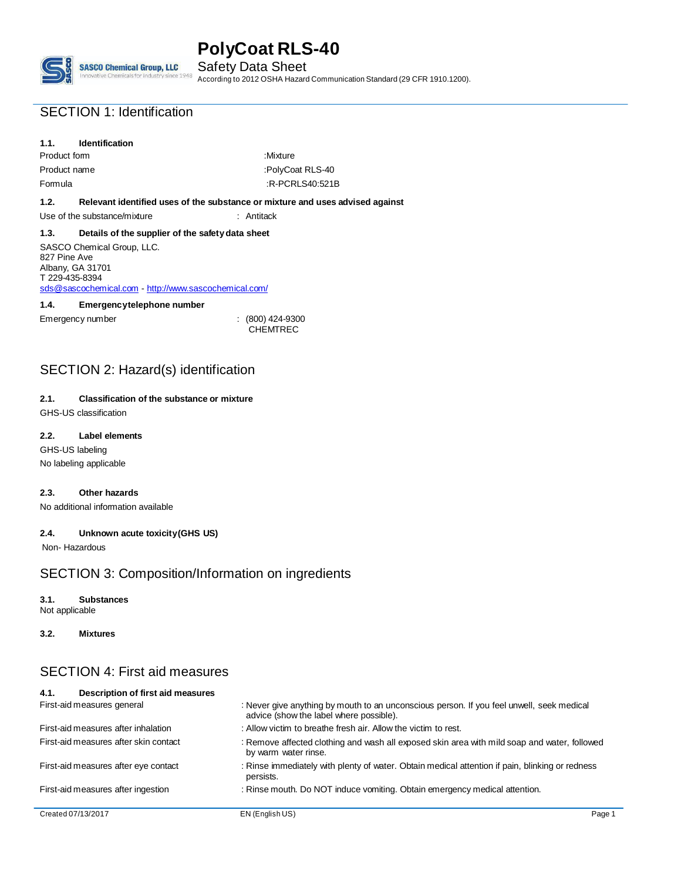**SASCO Chemical Group, LLC** ce 1948

Safety Data Sheet According to 2012 OSHA Hazard Communication Standard (29 CFR 1910.1200).

# SECTION 1: Identification

# **1.1. Identification**

Product form : Mixture : Mixture Product name :PolyCoat RLS-40 Formula :R-PCRLS40:521B

## **1.2. Relevant identified uses of the substance or mixture and uses advised against**

Use of the substance/mixture : Antitack

## **1.3. Details of the supplier of the safetydata sheet**

SASCO Chemical Group, LLC. 827 Pine Ave Albany, GA 31701 T 229-435-8394 [sds@sascochemical.com](mailto:sds@sascochemical.com) - [http://www.sascochemical.com/](mailto:sds@sascochemical.com)

## **1.4. Emergencytelephone number**

Emergency number : (800) 424-9300

**CHEMTREC** 

# SECTION 2: Hazard(s) identification

### **2.1. Classification of the substance or mixture** GHS-US classification

**2.2. Label elements**

GHS-US labeling No labeling applicable

## **2.3. Other hazards**

No additional information available

## **2.4. Unknown acute toxicity(GHS US)**

Non- Hazardous

# SECTION 3: Composition/Information on ingredients

## **3.1. Substances**

Not applicable

**3.2. Mixtures**

# SECTION 4: First aid measures

| Description of first aid measures<br>4.1. |                                                                                                                                      |        |
|-------------------------------------------|--------------------------------------------------------------------------------------------------------------------------------------|--------|
| First-aid measures general                | : Never give anything by mouth to an unconscious person. If you feel unwell, seek medical<br>advice (show the label where possible). |        |
| First-aid measures after inhalation       | : Allow victim to breathe fresh air. Allow the victim to rest.                                                                       |        |
| First-aid measures after skin contact     | : Remove affected clothing and wash all exposed skin area with mild soap and water, followed<br>by warm water rinse.                 |        |
| First-aid measures after eye contact      | : Rinse immediately with plenty of water. Obtain medical attention if pain, blinking or redness<br>persists.                         |        |
| First-aid measures after ingestion        | : Rinse mouth. Do NOT induce vomiting. Obtain emergency medical attention.                                                           |        |
| Created 07/13/2017                        | EN (English US)                                                                                                                      | Page 1 |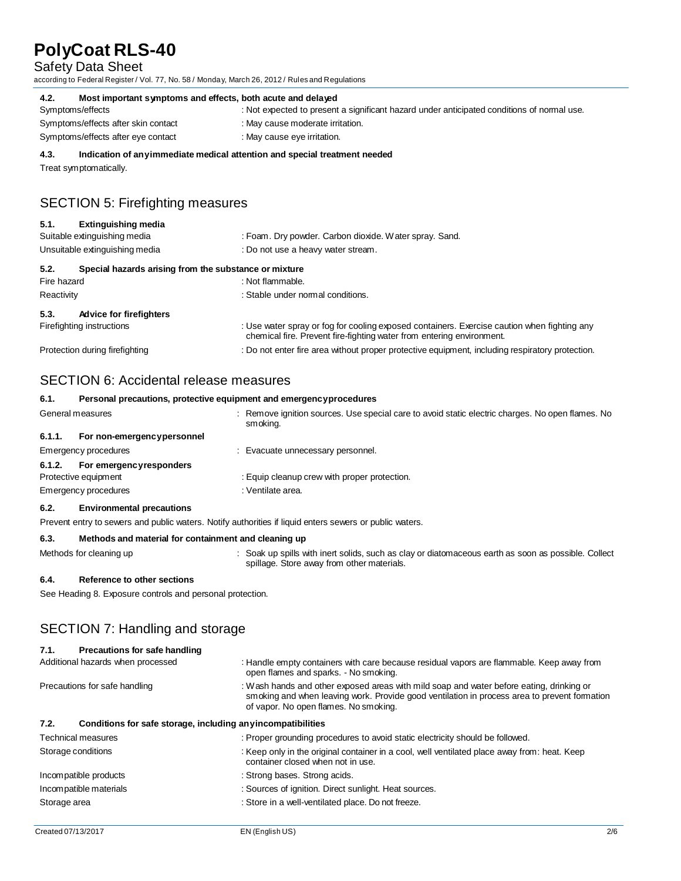## Safety Data Sheet

according to Federal Register / Vol. 77, No. 58 / Monday, March 26, 2012 / Rules and Regulations

| 4.2.<br>Most important symptoms and effects, both acute and delayed                                          |                                                                                            |  |
|--------------------------------------------------------------------------------------------------------------|--------------------------------------------------------------------------------------------|--|
| Symptoms/effects                                                                                             | : Not expected to present a significant hazard under anticipated conditions of normal use. |  |
| Symptoms/effects after skin contact                                                                          | : May cause moderate irritation.                                                           |  |
| Symptoms/effects after eye contact                                                                           | : May cause eye irritation.                                                                |  |
| Indication of any immediate medical attention and special treatment needed<br>4.3.<br>Treat symptomatically. |                                                                                            |  |
| <b>SECTION 5: Firefighting measures</b>                                                                      |                                                                                            |  |

### **5.1. Extinguishing media**

| Suitable extinguishing media<br>Unsuitable extinguishing media |                                                       | : Foam. Dry powder. Carbon dioxide. Water spray. Sand.                                                                                                               |  |  |  |
|----------------------------------------------------------------|-------------------------------------------------------|----------------------------------------------------------------------------------------------------------------------------------------------------------------------|--|--|--|
|                                                                |                                                       | : Do not use a heavy water stream.                                                                                                                                   |  |  |  |
| 5.2.                                                           | Special hazards arising from the substance or mixture |                                                                                                                                                                      |  |  |  |
| Fire hazard                                                    |                                                       | : Not flammable.                                                                                                                                                     |  |  |  |
| Reactivity                                                     |                                                       | : Stable under normal conditions.                                                                                                                                    |  |  |  |
| 5.3.                                                           | <b>Advice for firefighters</b>                        |                                                                                                                                                                      |  |  |  |
|                                                                | Firefighting instructions                             | : Use water spray or fog for cooling exposed containers. Exercise caution when fighting any<br>chemical fire. Prevent fire-fighting water from entering environment. |  |  |  |
|                                                                | Protection during firefighting                        | : Do not enter fire area without proper protective equipment, including respiratory protection.                                                                      |  |  |  |
|                                                                |                                                       |                                                                                                                                                                      |  |  |  |

# SECTION 6: Accidental release measures

| 6.1.             | Personal precautions, protective equipment and emergencyprocedures |  |                                                                                                              |
|------------------|--------------------------------------------------------------------|--|--------------------------------------------------------------------------------------------------------------|
| General measures |                                                                    |  | : Remove ignition sources. Use special care to avoid static electric charges. No open flames. No<br>smoking. |
| 6.1.1.           | For non-emergencypersonnel                                         |  |                                                                                                              |
|                  | Emergency procedures                                               |  | : Evacuate unnecessary personnel.                                                                            |
| 6.1.2.           | For emergencyresponders                                            |  |                                                                                                              |
|                  | Protective equipment                                               |  | : Equip cleanup crew with proper protection.                                                                 |
|                  | Emergency procedures                                               |  | : Ventilate area.                                                                                            |

### **6.2. Environmental precautions**

Prevent entry to sewers and public waters. Notify authorities if liquid enters sewers or public waters.

### **6.3. Methods and material for containment and cleaning up**

- 
- Methods for cleaning up **intert in the spills** with inert solids, such as clay or diatomaceous earth as soon as possible. Collect spillage. Store away from other materials.

### **6.4. Reference to other sections**

See Heading 8. Exposure controls and personal protection.

# SECTION 7: Handling and storage

| Precautions for safe handling<br>7.1.                                |                                                                                                                                                                                                                                   |
|----------------------------------------------------------------------|-----------------------------------------------------------------------------------------------------------------------------------------------------------------------------------------------------------------------------------|
| Additional hazards when processed                                    | : Handle empty containers with care because residual vapors are flammable. Keep away from<br>open flames and sparks. - No smoking.                                                                                                |
| Precautions for safe handling                                        | : Wash hands and other exposed areas with mild soap and water before eating, drinking or<br>smoking and when leaving work. Provide good ventilation in process area to prevent formation<br>of vapor. No open flames. No smoking. |
| Conditions for safe storage, including any incompatibilities<br>7.2. |                                                                                                                                                                                                                                   |
| <b>Technical measures</b>                                            | : Proper grounding procedures to avoid static electricity should be followed.                                                                                                                                                     |
| Storage conditions                                                   | : Keep only in the original container in a cool, well ventilated place away from: heat. Keep<br>container closed when not in use.                                                                                                 |
| Incompatible products                                                | : Strong bases. Strong acids.                                                                                                                                                                                                     |
| Incompatible materials                                               | : Sources of ignition. Direct sunlight. Heat sources.                                                                                                                                                                             |
| Storage area                                                         | : Store in a well-ventilated place. Do not freeze.                                                                                                                                                                                |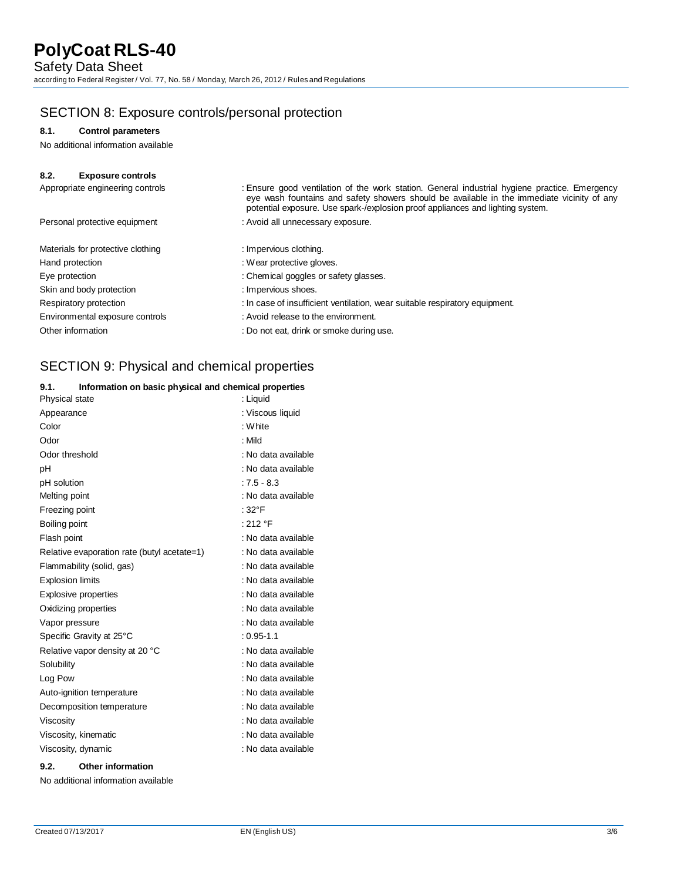# SECTION 8: Exposure controls/personal protection

## **8.1. Control parameters**

No additional information available

| 8.2.<br><b>Exposure controls</b>  |                                                                                                                                                                                                                                                                               |  |
|-----------------------------------|-------------------------------------------------------------------------------------------------------------------------------------------------------------------------------------------------------------------------------------------------------------------------------|--|
| Appropriate engineering controls  | : Ensure good ventilation of the work station. General industrial hygiene practice. Emergency<br>eye wash fountains and safety showers should be available in the immediate vicinity of any<br>potential exposure. Use spark-/explosion proof appliances and lighting system. |  |
| Personal protective equipment     | : Avoid all unnecessary exposure.                                                                                                                                                                                                                                             |  |
| Materials for protective clothing | : Impervious clothing.                                                                                                                                                                                                                                                        |  |
| Hand protection                   | : Wear protective gloves.                                                                                                                                                                                                                                                     |  |
| Eye protection                    | : Chemical goggles or safety glasses.                                                                                                                                                                                                                                         |  |
| Skin and body protection          | : Impervious shoes.                                                                                                                                                                                                                                                           |  |
| Respiratory protection            | : In case of insufficient ventilation, wear suitable respiratory equipment.                                                                                                                                                                                                   |  |
| Environmental exposure controls   | : Avoid release to the environment.                                                                                                                                                                                                                                           |  |
| Other information                 | : Do not eat, drink or smoke during use.                                                                                                                                                                                                                                      |  |

# SECTION 9: Physical and chemical properties

## **9.1. Information on basic physical and chemical properties**

| Physical state                              | : Liquid            |
|---------------------------------------------|---------------------|
| Appearance                                  | : Viscous liquid    |
| Color                                       | : White             |
| Odor                                        | : Mild              |
| Odor threshold                              | : No data available |
| рH                                          | : No data available |
| pH solution                                 | $:7.5 - 8.3$        |
| Melting point                               | : No data available |
| Freezing point                              | : $32^{\circ}$ F    |
| Boiling point                               | : 212 $\degree$ F   |
| Flash point                                 | : No data available |
| Relative evaporation rate (butyl acetate=1) | : No data available |
| Flammability (solid, gas)                   | : No data available |
| <b>Explosion limits</b>                     | : No data available |
| Explosive properties                        | : No data available |
| Oxidizing properties                        | : No data available |
| Vapor pressure                              | : No data available |
| Specific Gravity at 25°C                    | $: 0.95 - 1.1$      |
| Relative vapor density at 20 °C             | : No data available |
| Solubility                                  | : No data available |
| Log Pow                                     | : No data available |
| Auto-ignition temperature                   | : No data available |
| Decomposition temperature                   | : No data available |
| Viscosity                                   | : No data available |
| Viscosity, kinematic                        | : No data available |
| Viscosity, dynamic                          | : No data available |
| 9.2.<br><b>Other information</b>            |                     |

No additional information available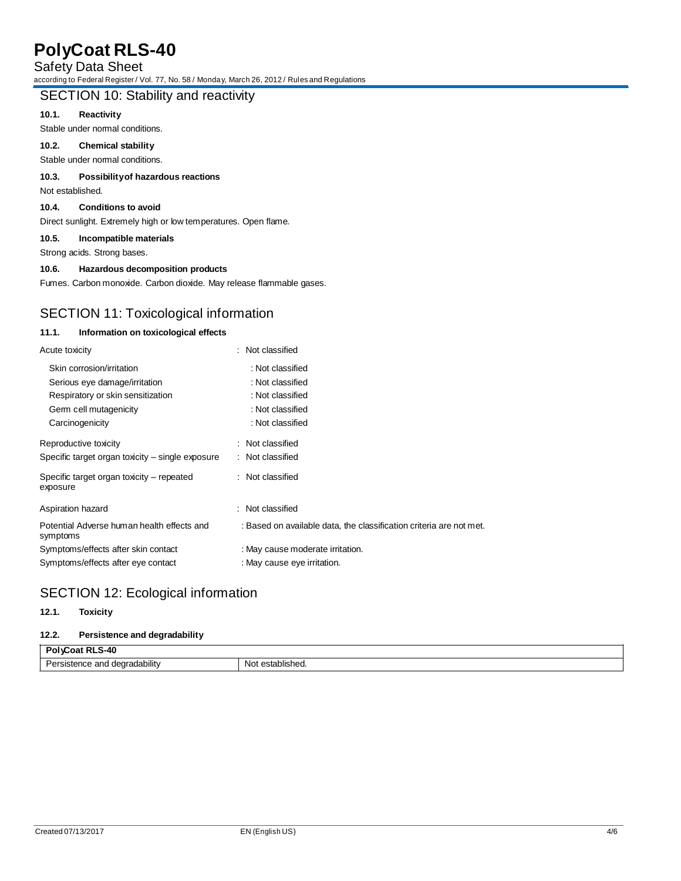Safety Data Sheet

according to Federal Register / Vol. 77, No. 58 / Monday, March 26, 2012 / Rules and Regulations

# SECTION 10: Stability and reactivity

## **10.1. Reactivity**

Stable under normal conditions.

# **10.2. Chemical stability**

Stable under normal conditions.

## **10.3. Possibilityof hazardous reactions**

Not established.

### **10.4. Conditions to avoid**

Direct sunlight. Extremely high or low temperatures. Open flame.

## **10.5. Incompatible materials**

Strong acids. Strong bases.

## **10.6. Hazardous decomposition products**

Fumes. Carbon monoxide. Carbon dioxide. May release flammable gases.

# SECTION 11: Toxicological information

### **11.1. Information on toxicological effects**

| Acute toxicity                                         | : Not classified                                                    |
|--------------------------------------------------------|---------------------------------------------------------------------|
| Skin corrosion/irritation                              | : Not classified                                                    |
| Serious eye damage/irritation                          | : Not classified                                                    |
| Respiratory or skin sensitization                      | : Not classified                                                    |
| Germ cell mutagenicity                                 | : Not classified                                                    |
| Carcinogenicity                                        | : Not classified                                                    |
| Reproductive toxicity                                  | : Not classified                                                    |
| Specific target organ toxicity – single exposure       | : Not classified                                                    |
| Specific target organ toxicity – repeated<br>exposure  | : Not classified                                                    |
| Aspiration hazard                                      | : Not classified                                                    |
| Potential Adverse human health effects and<br>symptoms | : Based on available data, the classification criteria are not met. |
| Symptoms/effects after skin contact                    | : May cause moderate irritation.                                    |
| Symptoms/effects after eye contact                     | : May cause eye irritation.                                         |

# SECTION 12: Ecological information

### **12.1. Toxicity**

#### **12.2. Persistence and degradability**

| -40<br>$\sim$<br>$\sim$   |              |
|---------------------------|--------------|
|                           | establisheu. |
| istence and degradability | No:          |